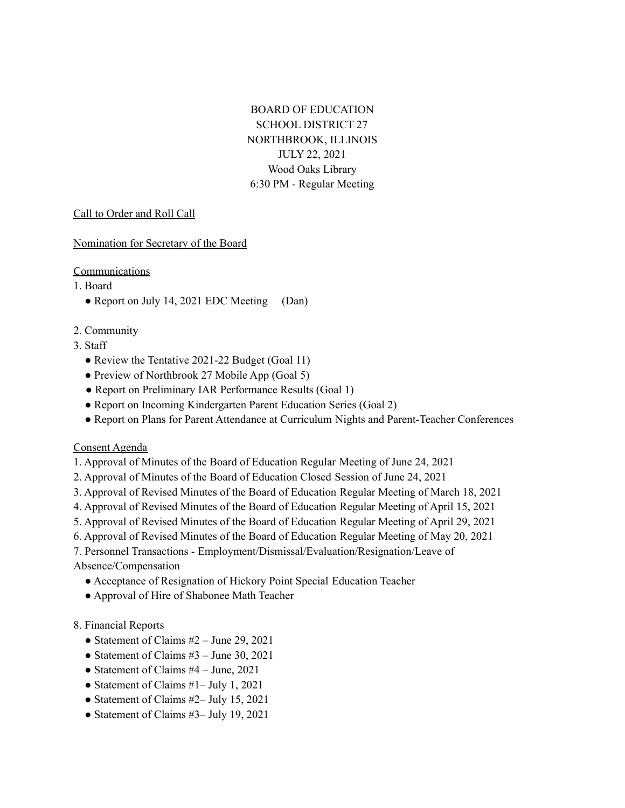BOARD OF EDUCATION SCHOOL DISTRICT 27 NORTHBROOK, ILLINOIS JULY 22, 2021 Wood Oaks Library 6:30 PM - Regular Meeting

#### Call to Order and Roll Call

Nomination for Secretary of the Board

### Communications

- 1. Board
	- Report on July 14, 2021 EDC Meeting (Dan)
- 2. Community
- 3. Staff
	- Review the Tentative 2021-22 Budget (Goal 11)
	- Preview of Northbrook 27 Mobile App (Goal 5)
	- Report on Preliminary IAR Performance Results (Goal 1)
	- Report on Incoming Kindergarten Parent Education Series (Goal 2)
	- Report on Plans for Parent Attendance at Curriculum Nights and Parent-Teacher Conferences

## Consent Agenda

- 1. Approval of Minutes of the Board of Education Regular Meeting of June 24, 2021
- 2. Approval of Minutes of the Board of Education Closed Session of June 24, 2021
- 3. Approval of Revised Minutes of the Board of Education Regular Meeting of March 18, 2021
- 4. Approval of Revised Minutes of the Board of Education Regular Meeting of April 15, 2021
- 5. Approval of Revised Minutes of the Board of Education Regular Meeting of April 29, 2021
- 6. Approval of Revised Minutes of the Board of Education Regular Meeting of May 20, 2021
- 7. Personnel Transactions Employment/Dismissal/Evaluation/Resignation/Leave of

## Absence/Compensation

- Acceptance of Resignation of Hickory Point Special Education Teacher
- Approval of Hire of Shabonee Math Teacher

## 8. Financial Reports

- Statement of Claims  $#2 June 29, 2021$
- Statement of Claims  $#3 -$  June 30, 2021
- Statement of Claims  $#4 June$ , 2021
- Statement of Claims #1– July 1, 2021
- Statement of Claims #2– July 15, 2021
- Statement of Claims #3– July 19, 2021